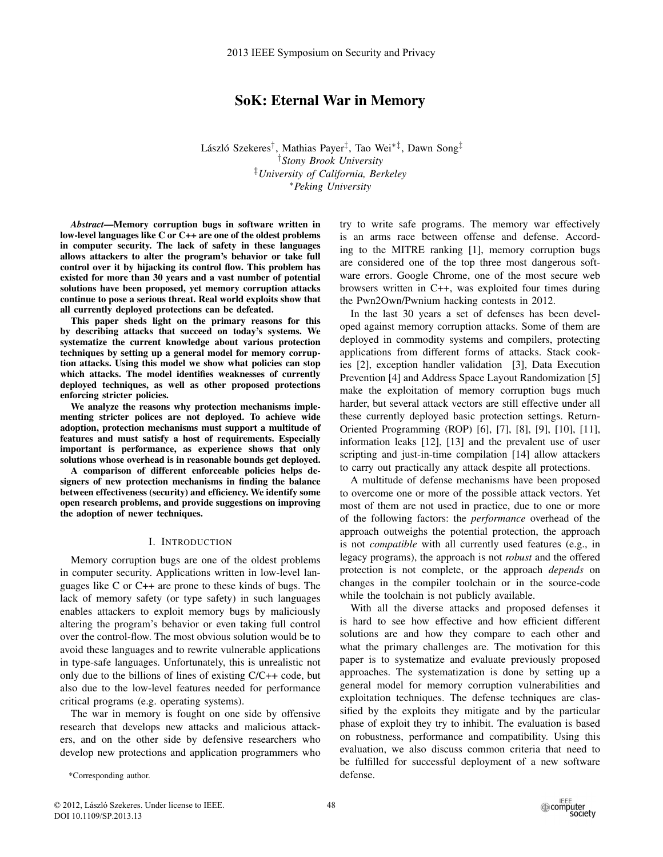# SoK: Eternal War in Memory

László Szekeres<sup>†</sup>, Mathias Payer<sup>‡</sup>, Tao Wei<sup>∗‡</sup>, Dawn Song<sup>‡</sup> †*Stony Brook University* ‡*University of California, Berkeley* ∗*Peking University*

*Abstract*—Memory corruption bugs in software written in low-level languages like C or C++ are one of the oldest problems in computer security. The lack of safety in these languages allows attackers to alter the program's behavior or take full control over it by hijacking its control flow. This problem has existed for more than 30 years and a vast number of potential solutions have been proposed, yet memory corruption attacks continue to pose a serious threat. Real world exploits show that all currently deployed protections can be defeated.

This paper sheds light on the primary reasons for this by describing attacks that succeed on today's systems. We systematize the current knowledge about various protection techniques by setting up a general model for memory corruption attacks. Using this model we show what policies can stop which attacks. The model identifies weaknesses of currently deployed techniques, as well as other proposed protections enforcing stricter policies.

We analyze the reasons why protection mechanisms implementing stricter polices are not deployed. To achieve wide adoption, protection mechanisms must support a multitude of features and must satisfy a host of requirements. Especially important is performance, as experience shows that only solutions whose overhead is in reasonable bounds get deployed.

A comparison of different enforceable policies helps designers of new protection mechanisms in finding the balance between effectiveness (security) and efficiency. We identify some open research problems, and provide suggestions on improving the adoption of newer techniques.

#### I. INTRODUCTION

Memory corruption bugs are one of the oldest problems in computer security. Applications written in low-level languages like C or C++ are prone to these kinds of bugs. The lack of memory safety (or type safety) in such languages enables attackers to exploit memory bugs by maliciously altering the program's behavior or even taking full control over the control-flow. The most obvious solution would be to avoid these languages and to rewrite vulnerable applications in type-safe languages. Unfortunately, this is unrealistic not only due to the billions of lines of existing C/C++ code, but also due to the low-level features needed for performance critical programs (e.g. operating systems).

The war in memory is fought on one side by offensive research that develops new attacks and malicious attackers, and on the other side by defensive researchers who develop new protections and application programmers who

\*Corresponding author.

try to write safe programs. The memory war effectively is an arms race between offense and defense. According to the MITRE ranking [1], memory corruption bugs are considered one of the top three most dangerous software errors. Google Chrome, one of the most secure web browsers written in C++, was exploited four times during the Pwn2Own/Pwnium hacking contests in 2012.

In the last 30 years a set of defenses has been developed against memory corruption attacks. Some of them are deployed in commodity systems and compilers, protecting applications from different forms of attacks. Stack cookies [2], exception handler validation [3], Data Execution Prevention [4] and Address Space Layout Randomization [5] make the exploitation of memory corruption bugs much harder, but several attack vectors are still effective under all these currently deployed basic protection settings. Return-Oriented Programming (ROP) [6], [7], [8], [9], [10], [11], information leaks [12], [13] and the prevalent use of user scripting and just-in-time compilation [14] allow attackers to carry out practically any attack despite all protections.

A multitude of defense mechanisms have been proposed to overcome one or more of the possible attack vectors. Yet most of them are not used in practice, due to one or more of the following factors: the *performance* overhead of the approach outweighs the potential protection, the approach is not *compatible* with all currently used features (e.g., in legacy programs), the approach is not *robust* and the offered protection is not complete, or the approach *depends* on changes in the compiler toolchain or in the source-code while the toolchain is not publicly available.

With all the diverse attacks and proposed defenses it is hard to see how effective and how efficient different solutions are and how they compare to each other and what the primary challenges are. The motivation for this paper is to systematize and evaluate previously proposed approaches. The systematization is done by setting up a general model for memory corruption vulnerabilities and exploitation techniques. The defense techniques are classified by the exploits they mitigate and by the particular phase of exploit they try to inhibit. The evaluation is based on robustness, performance and compatibility. Using this evaluation, we also discuss common criteria that need to be fulfilled for successful deployment of a new software defense.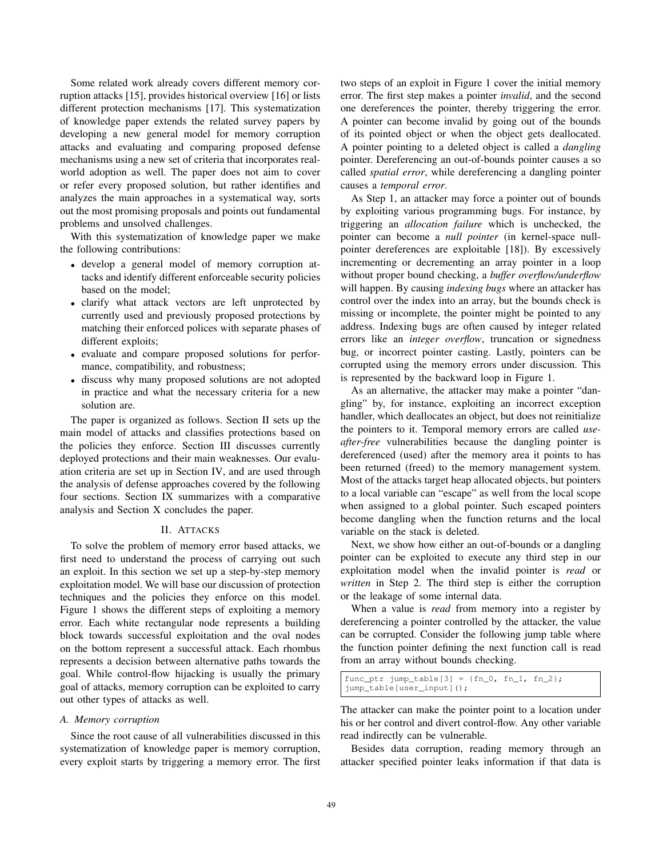Some related work already covers different memory corruption attacks [15], provides historical overview [16] or lists different protection mechanisms [17]. This systematization of knowledge paper extends the related survey papers by developing a new general model for memory corruption attacks and evaluating and comparing proposed defense mechanisms using a new set of criteria that incorporates realworld adoption as well. The paper does not aim to cover or refer every proposed solution, but rather identifies and analyzes the main approaches in a systematical way, sorts out the most promising proposals and points out fundamental problems and unsolved challenges.

With this systematization of knowledge paper we make the following contributions:

- develop a general model of memory corruption attacks and identify different enforceable security policies based on the model;
- clarify what attack vectors are left unprotected by currently used and previously proposed protections by matching their enforced polices with separate phases of different exploits;
- evaluate and compare proposed solutions for performance, compatibility, and robustness;
- discuss why many proposed solutions are not adopted in practice and what the necessary criteria for a new solution are.

The paper is organized as follows. Section II sets up the main model of attacks and classifies protections based on the policies they enforce. Section III discusses currently deployed protections and their main weaknesses. Our evaluation criteria are set up in Section IV, and are used through the analysis of defense approaches covered by the following four sections. Section IX summarizes with a comparative analysis and Section X concludes the paper.

#### II. ATTACKS

To solve the problem of memory error based attacks, we first need to understand the process of carrying out such an exploit. In this section we set up a step-by-step memory exploitation model. We will base our discussion of protection techniques and the policies they enforce on this model. Figure 1 shows the different steps of exploiting a memory error. Each white rectangular node represents a building block towards successful exploitation and the oval nodes on the bottom represent a successful attack. Each rhombus represents a decision between alternative paths towards the goal. While control-flow hijacking is usually the primary goal of attacks, memory corruption can be exploited to carry out other types of attacks as well.

## *A. Memory corruption*

Since the root cause of all vulnerabilities discussed in this systematization of knowledge paper is memory corruption, every exploit starts by triggering a memory error. The first two steps of an exploit in Figure 1 cover the initial memory error. The first step makes a pointer *invalid*, and the second one dereferences the pointer, thereby triggering the error. A pointer can become invalid by going out of the bounds of its pointed object or when the object gets deallocated. A pointer pointing to a deleted object is called a *dangling* pointer. Dereferencing an out-of-bounds pointer causes a so called *spatial error*, while dereferencing a dangling pointer causes a *temporal error*.

As Step 1, an attacker may force a pointer out of bounds by exploiting various programming bugs. For instance, by triggering an *allocation failure* which is unchecked, the pointer can become a *null pointer* (in kernel-space nullpointer dereferences are exploitable [18]). By excessively incrementing or decrementing an array pointer in a loop without proper bound checking, a *buffer overflow/underflow* will happen. By causing *indexing bugs* where an attacker has control over the index into an array, but the bounds check is missing or incomplete, the pointer might be pointed to any address. Indexing bugs are often caused by integer related errors like an *integer overflow*, truncation or signedness bug, or incorrect pointer casting. Lastly, pointers can be corrupted using the memory errors under discussion. This is represented by the backward loop in Figure 1.

As an alternative, the attacker may make a pointer "dangling" by, for instance, exploiting an incorrect exception handler, which deallocates an object, but does not reinitialize the pointers to it. Temporal memory errors are called *useafter-free* vulnerabilities because the dangling pointer is dereferenced (used) after the memory area it points to has been returned (freed) to the memory management system. Most of the attacks target heap allocated objects, but pointers to a local variable can "escape" as well from the local scope when assigned to a global pointer. Such escaped pointers become dangling when the function returns and the local variable on the stack is deleted.

Next, we show how either an out-of-bounds or a dangling pointer can be exploited to execute any third step in our exploitation model when the invalid pointer is *read* or *written* in Step 2. The third step is either the corruption or the leakage of some internal data.

When a value is *read* from memory into a register by dereferencing a pointer controlled by the attacker, the value can be corrupted. Consider the following jump table where the function pointer defining the next function call is read from an array without bounds checking.

```
func\_ptr jump_table[3] = {fn_0, fn_1, fn_2};
jump_table[user_input]();
```
The attacker can make the pointer point to a location under his or her control and divert control-flow. Any other variable read indirectly can be vulnerable.

Besides data corruption, reading memory through an attacker specified pointer leaks information if that data is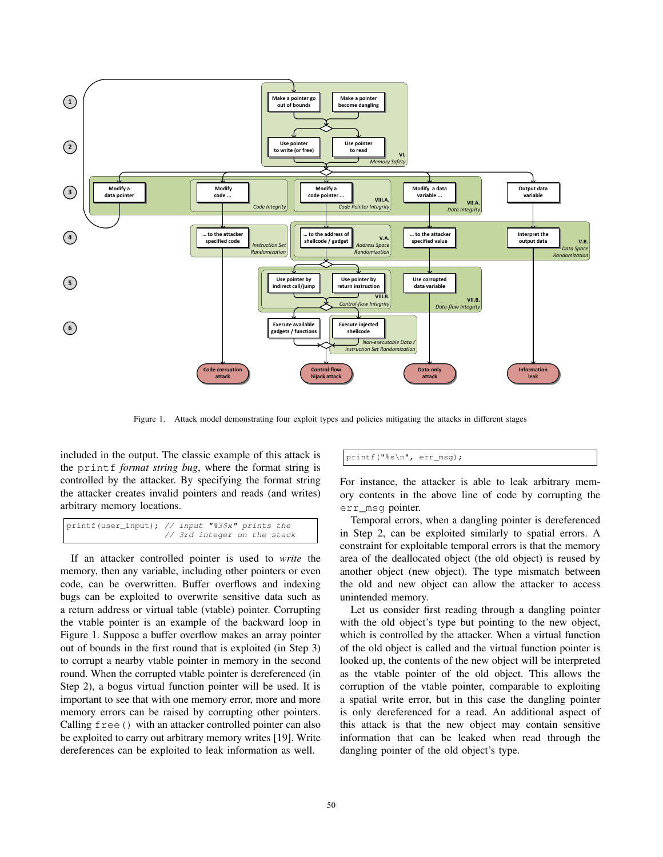

Figure 1. Attack model demonstrating four exploit types and policies mitigating the attacks in different stages

included in the output. The classic example of this attack is the printf *format string bug*, where the format string is controlled by the attacker. By specifying the format string the attacker creates invalid pointers and reads (and writes) arbitrary memory locations.

```
printf(user_input); // input "%3$x" prints the
                    // 3rd integer on the stack
```
If an attacker controlled pointer is used to *write* the memory, then any variable, including other pointers or even code, can be overwritten. Buffer overflows and indexing bugs can be exploited to overwrite sensitive data such as a return address or virtual table (vtable) pointer. Corrupting the vtable pointer is an example of the backward loop in Figure 1. Suppose a buffer overflow makes an array pointer out of bounds in the first round that is exploited (in Step 3) to corrupt a nearby vtable pointer in memory in the second round. When the corrupted vtable pointer is dereferenced (in Step 2), a bogus virtual function pointer will be used. It is important to see that with one memory error, more and more memory errors can be raised by corrupting other pointers. Calling free () with an attacker controlled pointer can also be exploited to carry out arbitrary memory writes [19]. Write dereferences can be exploited to leak information as well.

printf("%s\n", err\_msg);

For instance, the attacker is able to leak arbitrary memory contents in the above line of code by corrupting the err msg pointer.

Temporal errors, when a dangling pointer is dereferenced in Step 2, can be exploited similarly to spatial errors. A constraint for exploitable temporal errors is that the memory area of the deallocated object (the old object) is reused by another object (new object). The type mismatch between the old and new object can allow the attacker to access unintended memory.

Let us consider first reading through a dangling pointer with the old object's type but pointing to the new object, which is controlled by the attacker. When a virtual function of the old object is called and the virtual function pointer is looked up, the contents of the new object will be interpreted as the vtable pointer of the old object. This allows the corruption of the vtable pointer, comparable to exploiting a spatial write error, but in this case the dangling pointer is only dereferenced for a read. An additional aspect of this attack is that the new object may contain sensitive information that can be leaked when read through the dangling pointer of the old object's type.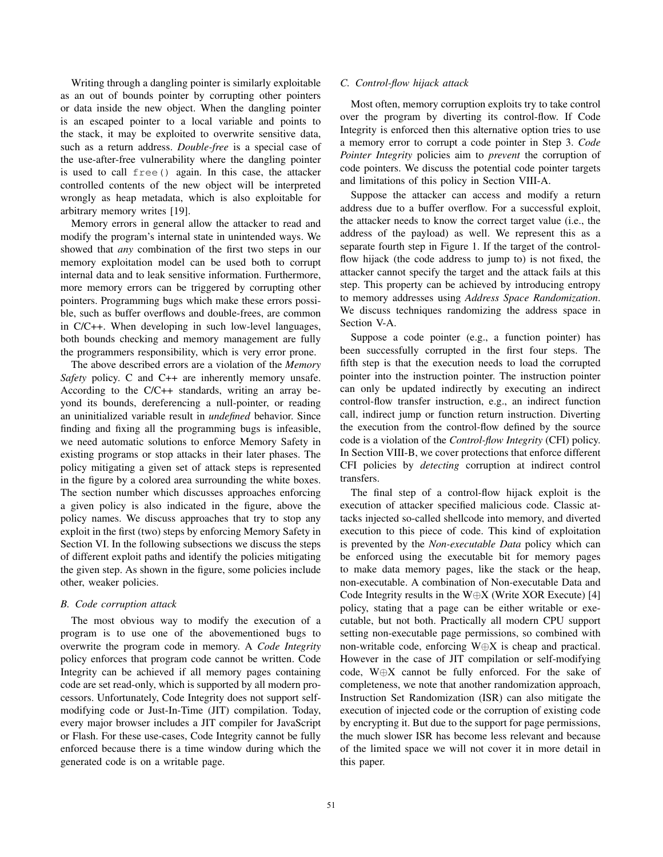Writing through a dangling pointer is similarly exploitable as an out of bounds pointer by corrupting other pointers or data inside the new object. When the dangling pointer is an escaped pointer to a local variable and points to the stack, it may be exploited to overwrite sensitive data, such as a return address. *Double-free* is a special case of the use-after-free vulnerability where the dangling pointer is used to call free() again. In this case, the attacker controlled contents of the new object will be interpreted wrongly as heap metadata, which is also exploitable for arbitrary memory writes [19].

Memory errors in general allow the attacker to read and modify the program's internal state in unintended ways. We showed that *any* combination of the first two steps in our memory exploitation model can be used both to corrupt internal data and to leak sensitive information. Furthermore, more memory errors can be triggered by corrupting other pointers. Programming bugs which make these errors possible, such as buffer overflows and double-frees, are common in C/C++. When developing in such low-level languages, both bounds checking and memory management are fully the programmers responsibility, which is very error prone.

The above described errors are a violation of the *Memory Safety* policy. C and C++ are inherently memory unsafe. According to the C/C++ standards, writing an array beyond its bounds, dereferencing a null-pointer, or reading an uninitialized variable result in *undefined* behavior. Since finding and fixing all the programming bugs is infeasible, we need automatic solutions to enforce Memory Safety in existing programs or stop attacks in their later phases. The policy mitigating a given set of attack steps is represented in the figure by a colored area surrounding the white boxes. The section number which discusses approaches enforcing a given policy is also indicated in the figure, above the policy names. We discuss approaches that try to stop any exploit in the first (two) steps by enforcing Memory Safety in Section VI. In the following subsections we discuss the steps of different exploit paths and identify the policies mitigating the given step. As shown in the figure, some policies include other, weaker policies.

# *B. Code corruption attack*

The most obvious way to modify the execution of a program is to use one of the abovementioned bugs to overwrite the program code in memory. A *Code Integrity* policy enforces that program code cannot be written. Code Integrity can be achieved if all memory pages containing code are set read-only, which is supported by all modern processors. Unfortunately, Code Integrity does not support selfmodifying code or Just-In-Time (JIT) compilation. Today, every major browser includes a JIT compiler for JavaScript or Flash. For these use-cases, Code Integrity cannot be fully enforced because there is a time window during which the generated code is on a writable page.

## *C. Control-flow hijack attack*

Most often, memory corruption exploits try to take control over the program by diverting its control-flow. If Code Integrity is enforced then this alternative option tries to use a memory error to corrupt a code pointer in Step 3. *Code Pointer Integrity* policies aim to *prevent* the corruption of code pointers. We discuss the potential code pointer targets and limitations of this policy in Section VIII-A.

Suppose the attacker can access and modify a return address due to a buffer overflow. For a successful exploit, the attacker needs to know the correct target value (i.e., the address of the payload) as well. We represent this as a separate fourth step in Figure 1. If the target of the controlflow hijack (the code address to jump to) is not fixed, the attacker cannot specify the target and the attack fails at this step. This property can be achieved by introducing entropy to memory addresses using *Address Space Randomization*. We discuss techniques randomizing the address space in Section V-A.

Suppose a code pointer (e.g., a function pointer) has been successfully corrupted in the first four steps. The fifth step is that the execution needs to load the corrupted pointer into the instruction pointer. The instruction pointer can only be updated indirectly by executing an indirect control-flow transfer instruction, e.g., an indirect function call, indirect jump or function return instruction. Diverting the execution from the control-flow defined by the source code is a violation of the *Control-flow Integrity* (CFI) policy. In Section VIII-B, we cover protections that enforce different CFI policies by *detecting* corruption at indirect control transfers.

The final step of a control-flow hijack exploit is the execution of attacker specified malicious code. Classic attacks injected so-called shellcode into memory, and diverted execution to this piece of code. This kind of exploitation is prevented by the *Non-executable Data* policy which can be enforced using the executable bit for memory pages to make data memory pages, like the stack or the heap, non-executable. A combination of Non-executable Data and Code Integrity results in the W⊕X (Write XOR Execute) [4] policy, stating that a page can be either writable or executable, but not both. Practically all modern CPU support setting non-executable page permissions, so combined with non-writable code, enforcing W⊕X is cheap and practical. However in the case of JIT compilation or self-modifying code, W⊕X cannot be fully enforced. For the sake of completeness, we note that another randomization approach, Instruction Set Randomization (ISR) can also mitigate the execution of injected code or the corruption of existing code by encrypting it. But due to the support for page permissions, the much slower ISR has become less relevant and because of the limited space we will not cover it in more detail in this paper.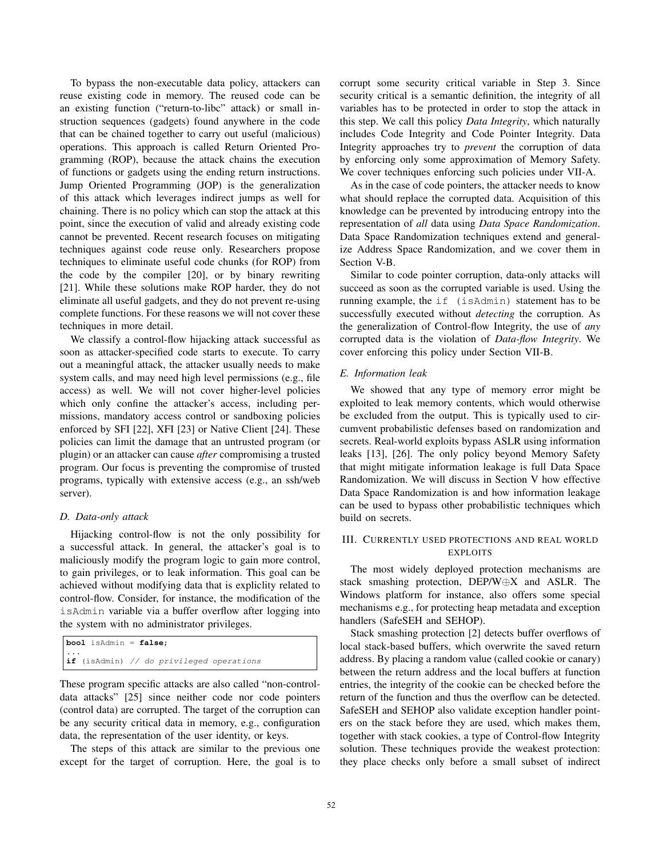To bypass the non-executable data policy, attackers can reuse existing code in memory. The reused code can be an existing function ("return-to-libc" attack) or small instruction sequences (gadgets) found anywhere in the code that can be chained together to carry out useful (malicious) operations. This approach is called Return Oriented Programming (ROP), because the attack chains the execution of functions or gadgets using the ending return instructions. Jump Oriented Programming (JOP) is the generalization of this attack which leverages indirect jumps as well for chaining. There is no policy which can stop the attack at this point, since the execution of valid and already existing code cannot be prevented. Recent research focuses on mitigating techniques against code reuse only. Researchers propose techniques to eliminate useful code chunks (for ROP) from the code by the compiler [20], or by binary rewriting [21]. While these solutions make ROP harder, they do not eliminate all useful gadgets, and they do not prevent re-using complete functions. For these reasons we will not cover these techniques in more detail.

We classify a control-flow hijacking attack successful as soon as attacker-specified code starts to execute. To carry out a meaningful attack, the attacker usually needs to make system calls, and may need high level permissions (e.g., file access) as well. We will not cover higher-level policies which only confine the attacker's access, including permissions, mandatory access control or sandboxing policies enforced by SFI [22], XFI [23] or Native Client [24]. These policies can limit the damage that an untrusted program (or plugin) or an attacker can cause *after* compromising a trusted program. Our focus is preventing the compromise of trusted programs, typically with extensive access (e.g., an ssh/web server).

### *D. Data-only attack*

Hijacking control-flow is not the only possibility for a successful attack. In general, the attacker's goal is to maliciously modify the program logic to gain more control, to gain privileges, or to leak information. This goal can be achieved without modifying data that is expliclity related to control-flow. Consider, for instance, the modification of the isAdmin variable via a buffer overflow after logging into the system with no administrator privileges.

```
bool isAdmin = false;
...
if (isAdmin) // do privileged operations
```
These program specific attacks are also called "non-controldata attacks" [25] since neither code nor code pointers (control data) are corrupted. The target of the corruption can be any security critical data in memory, e.g., configuration data, the representation of the user identity, or keys.

The steps of this attack are similar to the previous one except for the target of corruption. Here, the goal is to corrupt some security critical variable in Step 3. Since security critical is a semantic definition, the integrity of all variables has to be protected in order to stop the attack in this step. We call this policy *Data Integrity*, which naturally includes Code Integrity and Code Pointer Integrity. Data Integrity approaches try to *prevent* the corruption of data by enforcing only some approximation of Memory Safety. We cover techniques enforcing such policies under VII-A.

As in the case of code pointers, the attacker needs to know what should replace the corrupted data. Acquisition of this knowledge can be prevented by introducing entropy into the representation of *all* data using *Data Space Randomization*. Data Space Randomization techniques extend and generalize Address Space Randomization, and we cover them in Section V-B.

Similar to code pointer corruption, data-only attacks will succeed as soon as the corrupted variable is used. Using the running example, the if (isAdmin) statement has to be successfully executed without *detecting* the corruption. As the generalization of Control-flow Integrity, the use of *any* corrupted data is the violation of *Data-flow Integrity*. We cover enforcing this policy under Section VII-B.

# *E. Information leak*

We showed that any type of memory error might be exploited to leak memory contents, which would otherwise be excluded from the output. This is typically used to circumvent probabilistic defenses based on randomization and secrets. Real-world exploits bypass ASLR using information leaks [13], [26]. The only policy beyond Memory Safety that might mitigate information leakage is full Data Space Randomization. We will discuss in Section V how effective Data Space Randomization is and how information leakage can be used to bypass other probabilistic techniques which build on secrets.

# III. CURRENTLY USED PROTECTIONS AND REAL WORLD EXPLOITS

The most widely deployed protection mechanisms are stack smashing protection, DEP/W⊕X and ASLR. The Windows platform for instance, also offers some special mechanisms e.g., for protecting heap metadata and exception handlers (SafeSEH and SEHOP).

Stack smashing protection [2] detects buffer overflows of local stack-based buffers, which overwrite the saved return address. By placing a random value (called cookie or canary) between the return address and the local buffers at function entries, the integrity of the cookie can be checked before the return of the function and thus the overflow can be detected. SafeSEH and SEHOP also validate exception handler pointers on the stack before they are used, which makes them, together with stack cookies, a type of Control-flow Integrity solution. These techniques provide the weakest protection: they place checks only before a small subset of indirect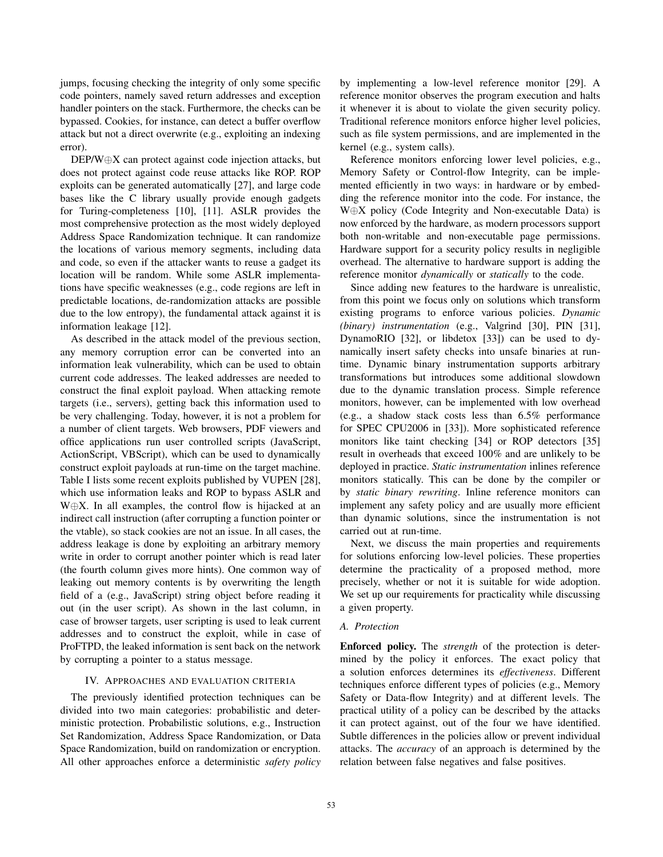jumps, focusing checking the integrity of only some specific code pointers, namely saved return addresses and exception handler pointers on the stack. Furthermore, the checks can be bypassed. Cookies, for instance, can detect a buffer overflow attack but not a direct overwrite (e.g., exploiting an indexing error).

DEP/W⊕X can protect against code injection attacks, but does not protect against code reuse attacks like ROP. ROP exploits can be generated automatically [27], and large code bases like the C library usually provide enough gadgets for Turing-completeness [10], [11]. ASLR provides the most comprehensive protection as the most widely deployed Address Space Randomization technique. It can randomize the locations of various memory segments, including data and code, so even if the attacker wants to reuse a gadget its location will be random. While some ASLR implementations have specific weaknesses (e.g., code regions are left in predictable locations, de-randomization attacks are possible due to the low entropy), the fundamental attack against it is information leakage [12].

As described in the attack model of the previous section, any memory corruption error can be converted into an information leak vulnerability, which can be used to obtain current code addresses. The leaked addresses are needed to construct the final exploit payload. When attacking remote targets (i.e., servers), getting back this information used to be very challenging. Today, however, it is not a problem for a number of client targets. Web browsers, PDF viewers and office applications run user controlled scripts (JavaScript, ActionScript, VBScript), which can be used to dynamically construct exploit payloads at run-time on the target machine. Table I lists some recent exploits published by VUPEN [28], which use information leaks and ROP to bypass ASLR and W⊕X. In all examples, the control flow is hijacked at an indirect call instruction (after corrupting a function pointer or the vtable), so stack cookies are not an issue. In all cases, the address leakage is done by exploiting an arbitrary memory write in order to corrupt another pointer which is read later (the fourth column gives more hints). One common way of leaking out memory contents is by overwriting the length field of a (e.g., JavaScript) string object before reading it out (in the user script). As shown in the last column, in case of browser targets, user scripting is used to leak current addresses and to construct the exploit, while in case of ProFTPD, the leaked information is sent back on the network by corrupting a pointer to a status message.

## IV. APPROACHES AND EVALUATION CRITERIA

The previously identified protection techniques can be divided into two main categories: probabilistic and deterministic protection. Probabilistic solutions, e.g., Instruction Set Randomization, Address Space Randomization, or Data Space Randomization, build on randomization or encryption. All other approaches enforce a deterministic *safety policy* by implementing a low-level reference monitor [29]. A reference monitor observes the program execution and halts it whenever it is about to violate the given security policy. Traditional reference monitors enforce higher level policies, such as file system permissions, and are implemented in the kernel (e.g., system calls).

Reference monitors enforcing lower level policies, e.g., Memory Safety or Control-flow Integrity, can be implemented efficiently in two ways: in hardware or by embedding the reference monitor into the code. For instance, the W⊕X policy (Code Integrity and Non-executable Data) is now enforced by the hardware, as modern processors support both non-writable and non-executable page permissions. Hardware support for a security policy results in negligible overhead. The alternative to hardware support is adding the reference monitor *dynamically* or *statically* to the code.

Since adding new features to the hardware is unrealistic, from this point we focus only on solutions which transform existing programs to enforce various policies. *Dynamic (binary) instrumentation* (e.g., Valgrind [30], PIN [31], DynamoRIO [32], or libdetox [33]) can be used to dynamically insert safety checks into unsafe binaries at runtime. Dynamic binary instrumentation supports arbitrary transformations but introduces some additional slowdown due to the dynamic translation process. Simple reference monitors, however, can be implemented with low overhead (e.g., a shadow stack costs less than 6.5% performance for SPEC CPU2006 in [33]). More sophisticated reference monitors like taint checking [34] or ROP detectors [35] result in overheads that exceed 100% and are unlikely to be deployed in practice. *Static instrumentation* inlines reference monitors statically. This can be done by the compiler or by *static binary rewriting*. Inline reference monitors can implement any safety policy and are usually more efficient than dynamic solutions, since the instrumentation is not carried out at run-time.

Next, we discuss the main properties and requirements for solutions enforcing low-level policies. These properties determine the practicality of a proposed method, more precisely, whether or not it is suitable for wide adoption. We set up our requirements for practicality while discussing a given property.

# *A. Protection*

Enforced policy. The *strength* of the protection is determined by the policy it enforces. The exact policy that a solution enforces determines its *effectiveness*. Different techniques enforce different types of policies (e.g., Memory Safety or Data-flow Integrity) and at different levels. The practical utility of a policy can be described by the attacks it can protect against, out of the four we have identified. Subtle differences in the policies allow or prevent individual attacks. The *accuracy* of an approach is determined by the relation between false negatives and false positives.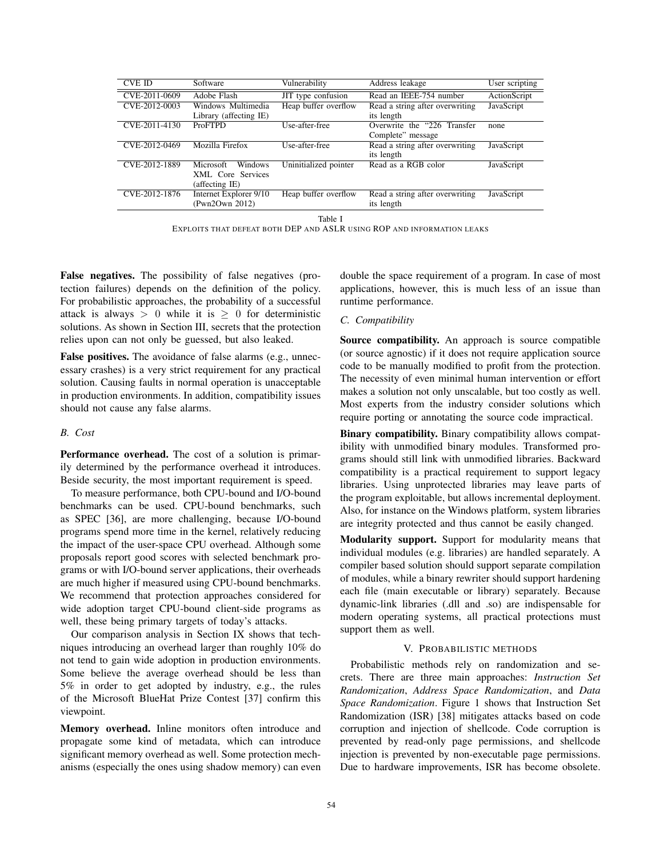| <b>CVE ID</b> | Software                    | Vulnerability         | Address leakage                 | User scripting |
|---------------|-----------------------------|-----------------------|---------------------------------|----------------|
| CVE-2011-0609 | Adobe Flash                 | JIT type confusion    | Read an IEEE-754 number         | ActionScript   |
| CVE-2012-0003 | Windows Multimedia          | Heap buffer overflow  | Read a string after overwriting | JavaScript     |
|               | Library (affecting IE)      |                       | its length                      |                |
| CVE-2011-4130 | ProFTPD                     | Use-after-free        | Overwrite the "226 Transfer"    | none           |
|               |                             |                       | Complete" message               |                |
| CVE-2012-0469 | Mozilla Firefox             | Use-after-free        | Read a string after overwriting | JavaScript     |
|               |                             |                       | its length                      |                |
| CVE-2012-1889 | <b>Microsoft</b><br>Windows | Uninitialized pointer | Read as a RGB color             | JavaScript     |
|               | XML Core Services           |                       |                                 |                |
|               | (affecting IE)              |                       |                                 |                |
| CVE-2012-1876 | Internet Explorer 9/10      | Heap buffer overflow  | Read a string after overwriting | JavaScript     |
|               | (Pwn2Own 2012)              |                       | its length                      |                |
|               |                             |                       |                                 |                |

Table I

EXPLOITS THAT DEFEAT BOTH DEP AND ASLR USING ROP AND INFORMATION LEAKS

False negatives. The possibility of false negatives (protection failures) depends on the definition of the policy. For probabilistic approaches, the probability of a successful attack is always > 0 while it is  $\geq$  0 for deterministic solutions. As shown in Section III, secrets that the protection relies upon can not only be guessed, but also leaked.

False positives. The avoidance of false alarms (e.g., unnecessary crashes) is a very strict requirement for any practical solution. Causing faults in normal operation is unacceptable in production environments. In addition, compatibility issues should not cause any false alarms.

#### *B. Cost*

Performance overhead. The cost of a solution is primarily determined by the performance overhead it introduces. Beside security, the most important requirement is speed.

To measure performance, both CPU-bound and I/O-bound benchmarks can be used. CPU-bound benchmarks, such as SPEC [36], are more challenging, because I/O-bound programs spend more time in the kernel, relatively reducing the impact of the user-space CPU overhead. Although some proposals report good scores with selected benchmark programs or with I/O-bound server applications, their overheads are much higher if measured using CPU-bound benchmarks. We recommend that protection approaches considered for wide adoption target CPU-bound client-side programs as well, these being primary targets of today's attacks.

Our comparison analysis in Section IX shows that techniques introducing an overhead larger than roughly 10% do not tend to gain wide adoption in production environments. Some believe the average overhead should be less than 5% in order to get adopted by industry, e.g., the rules of the Microsoft BlueHat Prize Contest [37] confirm this viewpoint.

Memory overhead. Inline monitors often introduce and propagate some kind of metadata, which can introduce significant memory overhead as well. Some protection mechanisms (especially the ones using shadow memory) can even double the space requirement of a program. In case of most applications, however, this is much less of an issue than runtime performance.

## *C. Compatibility*

Source compatibility. An approach is source compatible (or source agnostic) if it does not require application source code to be manually modified to profit from the protection. The necessity of even minimal human intervention or effort makes a solution not only unscalable, but too costly as well. Most experts from the industry consider solutions which require porting or annotating the source code impractical.

Binary compatibility. Binary compatibility allows compatibility with unmodified binary modules. Transformed programs should still link with unmodified libraries. Backward compatibility is a practical requirement to support legacy libraries. Using unprotected libraries may leave parts of the program exploitable, but allows incremental deployment. Also, for instance on the Windows platform, system libraries are integrity protected and thus cannot be easily changed.

Modularity support. Support for modularity means that individual modules (e.g. libraries) are handled separately. A compiler based solution should support separate compilation of modules, while a binary rewriter should support hardening each file (main executable or library) separately. Because dynamic-link libraries (.dll and .so) are indispensable for modern operating systems, all practical protections must support them as well.

# V. PROBABILISTIC METHODS

Probabilistic methods rely on randomization and secrets. There are three main approaches: *Instruction Set Randomization*, *Address Space Randomization*, and *Data Space Randomization*. Figure 1 shows that Instruction Set Randomization (ISR) [38] mitigates attacks based on code corruption and injection of shellcode. Code corruption is prevented by read-only page permissions, and shellcode injection is prevented by non-executable page permissions. Due to hardware improvements, ISR has become obsolete.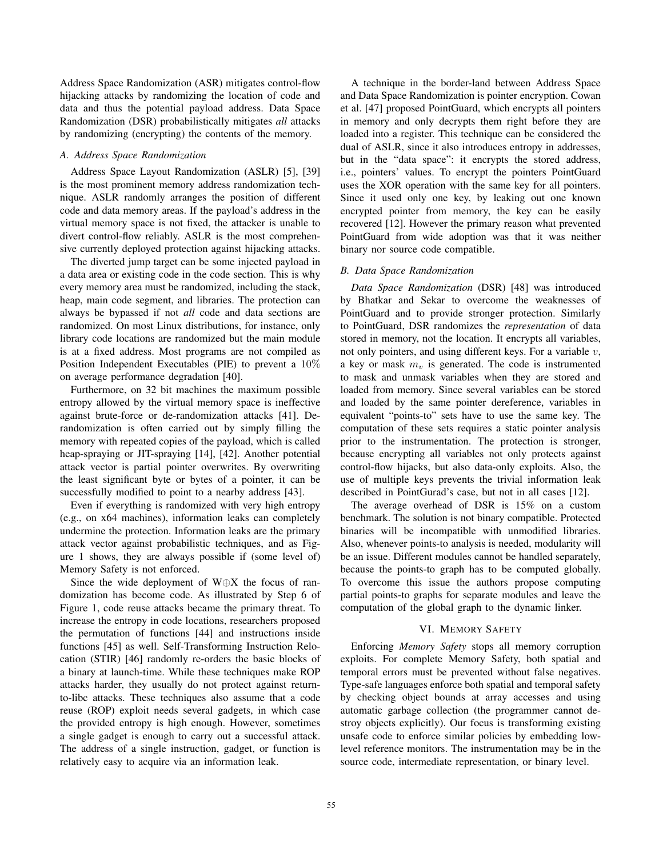Address Space Randomization (ASR) mitigates control-flow hijacking attacks by randomizing the location of code and data and thus the potential payload address. Data Space Randomization (DSR) probabilistically mitigates *all* attacks by randomizing (encrypting) the contents of the memory.

## *A. Address Space Randomization*

Address Space Layout Randomization (ASLR) [5], [39] is the most prominent memory address randomization technique. ASLR randomly arranges the position of different code and data memory areas. If the payload's address in the virtual memory space is not fixed, the attacker is unable to divert control-flow reliably. ASLR is the most comprehensive currently deployed protection against hijacking attacks.

The diverted jump target can be some injected payload in a data area or existing code in the code section. This is why every memory area must be randomized, including the stack, heap, main code segment, and libraries. The protection can always be bypassed if not *all* code and data sections are randomized. On most Linux distributions, for instance, only library code locations are randomized but the main module is at a fixed address. Most programs are not compiled as Position Independent Executables (PIE) to prevent a 10% on average performance degradation [40].

Furthermore, on 32 bit machines the maximum possible entropy allowed by the virtual memory space is ineffective against brute-force or de-randomization attacks [41]. Derandomization is often carried out by simply filling the memory with repeated copies of the payload, which is called heap-spraying or JIT-spraying [14], [42]. Another potential attack vector is partial pointer overwrites. By overwriting the least significant byte or bytes of a pointer, it can be successfully modified to point to a nearby address [43].

Even if everything is randomized with very high entropy (e.g., on x64 machines), information leaks can completely undermine the protection. Information leaks are the primary attack vector against probabilistic techniques, and as Figure 1 shows, they are always possible if (some level of) Memory Safety is not enforced.

Since the wide deployment of W⊕X the focus of randomization has become code. As illustrated by Step 6 of Figure 1, code reuse attacks became the primary threat. To increase the entropy in code locations, researchers proposed the permutation of functions [44] and instructions inside functions [45] as well. Self-Transforming Instruction Relocation (STIR) [46] randomly re-orders the basic blocks of a binary at launch-time. While these techniques make ROP attacks harder, they usually do not protect against returnto-libc attacks. These techniques also assume that a code reuse (ROP) exploit needs several gadgets, in which case the provided entropy is high enough. However, sometimes a single gadget is enough to carry out a successful attack. The address of a single instruction, gadget, or function is relatively easy to acquire via an information leak.

A technique in the border-land between Address Space and Data Space Randomization is pointer encryption. Cowan et al. [47] proposed PointGuard, which encrypts all pointers in memory and only decrypts them right before they are loaded into a register. This technique can be considered the dual of ASLR, since it also introduces entropy in addresses, but in the "data space": it encrypts the stored address, i.e., pointers' values. To encrypt the pointers PointGuard uses the XOR operation with the same key for all pointers. Since it used only one key, by leaking out one known encrypted pointer from memory, the key can be easily recovered [12]. However the primary reason what prevented PointGuard from wide adoption was that it was neither binary nor source code compatible.

#### *B. Data Space Randomization*

*Data Space Randomization* (DSR) [48] was introduced by Bhatkar and Sekar to overcome the weaknesses of PointGuard and to provide stronger protection. Similarly to PointGuard, DSR randomizes the *representation* of data stored in memory, not the location. It encrypts all variables, not only pointers, and using different keys. For a variable  $v$ , a key or mask  $m<sub>v</sub>$  is generated. The code is instrumented to mask and unmask variables when they are stored and loaded from memory. Since several variables can be stored and loaded by the same pointer dereference, variables in equivalent "points-to" sets have to use the same key. The computation of these sets requires a static pointer analysis prior to the instrumentation. The protection is stronger, because encrypting all variables not only protects against control-flow hijacks, but also data-only exploits. Also, the use of multiple keys prevents the trivial information leak described in PointGurad's case, but not in all cases [12].

The average overhead of DSR is 15% on a custom benchmark. The solution is not binary compatible. Protected binaries will be incompatible with unmodified libraries. Also, whenever points-to analysis is needed, modularity will be an issue. Different modules cannot be handled separately, because the points-to graph has to be computed globally. To overcome this issue the authors propose computing partial points-to graphs for separate modules and leave the computation of the global graph to the dynamic linker.

#### VI. MEMORY SAFETY

Enforcing *Memory Safety* stops all memory corruption exploits. For complete Memory Safety, both spatial and temporal errors must be prevented without false negatives. Type-safe languages enforce both spatial and temporal safety by checking object bounds at array accesses and using automatic garbage collection (the programmer cannot destroy objects explicitly). Our focus is transforming existing unsafe code to enforce similar policies by embedding lowlevel reference monitors. The instrumentation may be in the source code, intermediate representation, or binary level.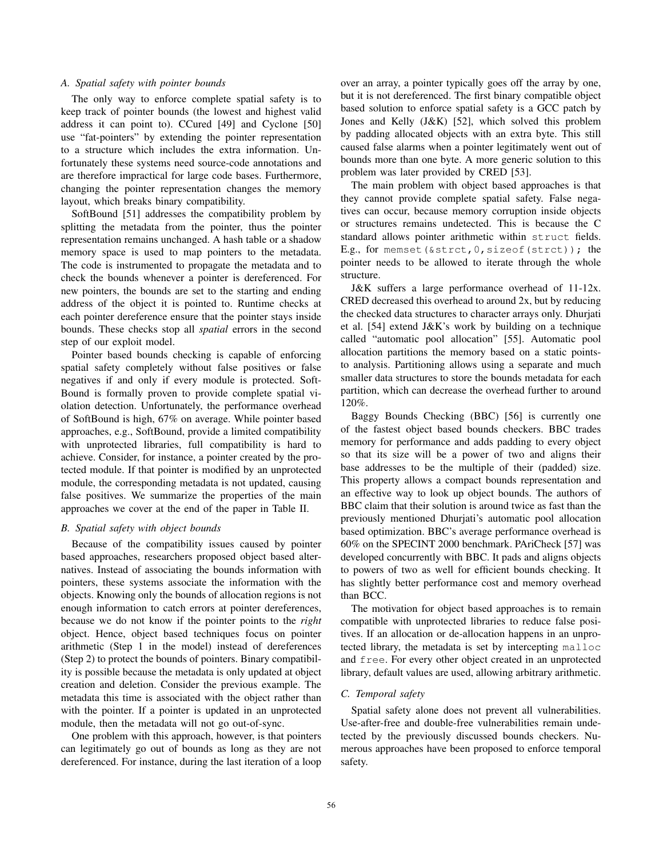# *A. Spatial safety with pointer bounds*

The only way to enforce complete spatial safety is to keep track of pointer bounds (the lowest and highest valid address it can point to). CCured [49] and Cyclone [50] use "fat-pointers" by extending the pointer representation to a structure which includes the extra information. Unfortunately these systems need source-code annotations and are therefore impractical for large code bases. Furthermore, changing the pointer representation changes the memory layout, which breaks binary compatibility.

SoftBound [51] addresses the compatibility problem by splitting the metadata from the pointer, thus the pointer representation remains unchanged. A hash table or a shadow memory space is used to map pointers to the metadata. The code is instrumented to propagate the metadata and to check the bounds whenever a pointer is dereferenced. For new pointers, the bounds are set to the starting and ending address of the object it is pointed to. Runtime checks at each pointer dereference ensure that the pointer stays inside bounds. These checks stop all *spatial* errors in the second step of our exploit model.

Pointer based bounds checking is capable of enforcing spatial safety completely without false positives or false negatives if and only if every module is protected. Soft-Bound is formally proven to provide complete spatial violation detection. Unfortunately, the performance overhead of SoftBound is high, 67% on average. While pointer based approaches, e.g., SoftBound, provide a limited compatibility with unprotected libraries, full compatibility is hard to achieve. Consider, for instance, a pointer created by the protected module. If that pointer is modified by an unprotected module, the corresponding metadata is not updated, causing false positives. We summarize the properties of the main approaches we cover at the end of the paper in Table II.

#### *B. Spatial safety with object bounds*

Because of the compatibility issues caused by pointer based approaches, researchers proposed object based alternatives. Instead of associating the bounds information with pointers, these systems associate the information with the objects. Knowing only the bounds of allocation regions is not enough information to catch errors at pointer dereferences, because we do not know if the pointer points to the *right* object. Hence, object based techniques focus on pointer arithmetic (Step 1 in the model) instead of dereferences (Step 2) to protect the bounds of pointers. Binary compatibility is possible because the metadata is only updated at object creation and deletion. Consider the previous example. The metadata this time is associated with the object rather than with the pointer. If a pointer is updated in an unprotected module, then the metadata will not go out-of-sync.

One problem with this approach, however, is that pointers can legitimately go out of bounds as long as they are not dereferenced. For instance, during the last iteration of a loop over an array, a pointer typically goes off the array by one, but it is not dereferenced. The first binary compatible object based solution to enforce spatial safety is a GCC patch by Jones and Kelly (J&K) [52], which solved this problem by padding allocated objects with an extra byte. This still caused false alarms when a pointer legitimately went out of bounds more than one byte. A more generic solution to this problem was later provided by CRED [53].

The main problem with object based approaches is that they cannot provide complete spatial safety. False negatives can occur, because memory corruption inside objects or structures remains undetected. This is because the C standard allows pointer arithmetic within struct fields. E.g., for memset(&strct,0,sizeof(strct)); the pointer needs to be allowed to iterate through the whole structure.

J&K suffers a large performance overhead of 11-12x. CRED decreased this overhead to around 2x, but by reducing the checked data structures to character arrays only. Dhurjati et al. [54] extend J&K's work by building on a technique called "automatic pool allocation" [55]. Automatic pool allocation partitions the memory based on a static pointsto analysis. Partitioning allows using a separate and much smaller data structures to store the bounds metadata for each partition, which can decrease the overhead further to around 120%.

Baggy Bounds Checking (BBC) [56] is currently one of the fastest object based bounds checkers. BBC trades memory for performance and adds padding to every object so that its size will be a power of two and aligns their base addresses to be the multiple of their (padded) size. This property allows a compact bounds representation and an effective way to look up object bounds. The authors of BBC claim that their solution is around twice as fast than the previously mentioned Dhurjati's automatic pool allocation based optimization. BBC's average performance overhead is 60% on the SPECINT 2000 benchmark. PAriCheck [57] was developed concurrently with BBC. It pads and aligns objects to powers of two as well for efficient bounds checking. It has slightly better performance cost and memory overhead than BCC.

The motivation for object based approaches is to remain compatible with unprotected libraries to reduce false positives. If an allocation or de-allocation happens in an unprotected library, the metadata is set by intercepting malloc and free. For every other object created in an unprotected library, default values are used, allowing arbitrary arithmetic.

#### *C. Temporal safety*

Spatial safety alone does not prevent all vulnerabilities. Use-after-free and double-free vulnerabilities remain undetected by the previously discussed bounds checkers. Numerous approaches have been proposed to enforce temporal safety.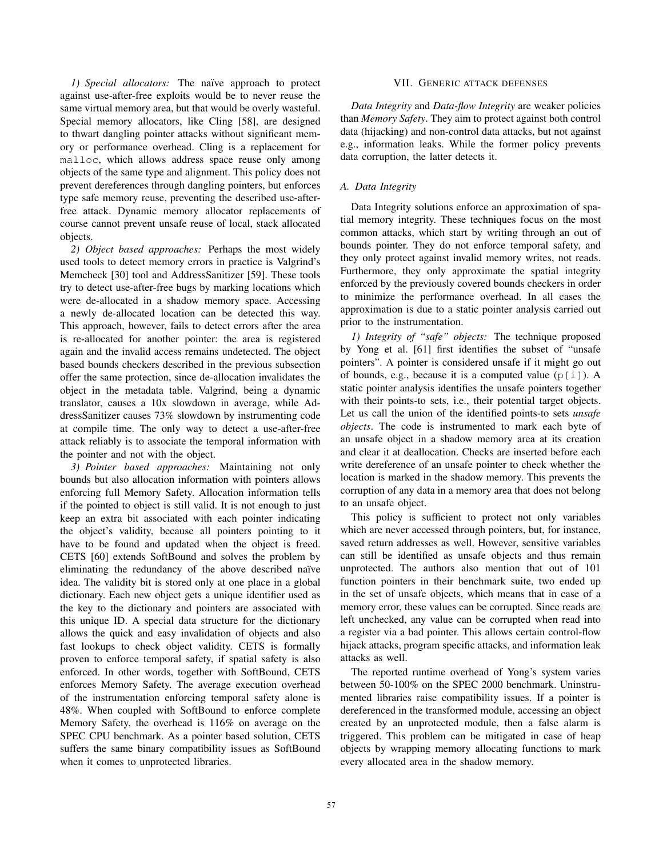*1)* Special allocators: The naïve approach to protect against use-after-free exploits would be to never reuse the same virtual memory area, but that would be overly wasteful. Special memory allocators, like Cling [58], are designed to thwart dangling pointer attacks without significant memory or performance overhead. Cling is a replacement for malloc, which allows address space reuse only among objects of the same type and alignment. This policy does not prevent dereferences through dangling pointers, but enforces type safe memory reuse, preventing the described use-afterfree attack. Dynamic memory allocator replacements of course cannot prevent unsafe reuse of local, stack allocated objects.

*2) Object based approaches:* Perhaps the most widely used tools to detect memory errors in practice is Valgrind's Memcheck [30] tool and AddressSanitizer [59]. These tools try to detect use-after-free bugs by marking locations which were de-allocated in a shadow memory space. Accessing a newly de-allocated location can be detected this way. This approach, however, fails to detect errors after the area is re-allocated for another pointer: the area is registered again and the invalid access remains undetected. The object based bounds checkers described in the previous subsection offer the same protection, since de-allocation invalidates the object in the metadata table. Valgrind, being a dynamic translator, causes a 10x slowdown in average, while AddressSanitizer causes 73% slowdown by instrumenting code at compile time. The only way to detect a use-after-free attack reliably is to associate the temporal information with the pointer and not with the object.

*3) Pointer based approaches:* Maintaining not only bounds but also allocation information with pointers allows enforcing full Memory Safety. Allocation information tells if the pointed to object is still valid. It is not enough to just keep an extra bit associated with each pointer indicating the object's validity, because all pointers pointing to it have to be found and updated when the object is freed. CETS [60] extends SoftBound and solves the problem by eliminating the redundancy of the above described naïve idea. The validity bit is stored only at one place in a global dictionary. Each new object gets a unique identifier used as the key to the dictionary and pointers are associated with this unique ID. A special data structure for the dictionary allows the quick and easy invalidation of objects and also fast lookups to check object validity. CETS is formally proven to enforce temporal safety, if spatial safety is also enforced. In other words, together with SoftBound, CETS enforces Memory Safety. The average execution overhead of the instrumentation enforcing temporal safety alone is 48%. When coupled with SoftBound to enforce complete Memory Safety, the overhead is 116% on average on the SPEC CPU benchmark. As a pointer based solution, CETS suffers the same binary compatibility issues as SoftBound when it comes to unprotected libraries.

#### VII. GENERIC ATTACK DEFENSES

*Data Integrity* and *Data-flow Integrity* are weaker policies than *Memory Safety*. They aim to protect against both control data (hijacking) and non-control data attacks, but not against e.g., information leaks. While the former policy prevents data corruption, the latter detects it.

## *A. Data Integrity*

Data Integrity solutions enforce an approximation of spatial memory integrity. These techniques focus on the most common attacks, which start by writing through an out of bounds pointer. They do not enforce temporal safety, and they only protect against invalid memory writes, not reads. Furthermore, they only approximate the spatial integrity enforced by the previously covered bounds checkers in order to minimize the performance overhead. In all cases the approximation is due to a static pointer analysis carried out prior to the instrumentation.

*1) Integrity of "safe" objects:* The technique proposed by Yong et al. [61] first identifies the subset of "unsafe pointers". A pointer is considered unsafe if it might go out of bounds, e.g., because it is a computed value  $(p[i])$ . A static pointer analysis identifies the unsafe pointers together with their points-to sets, i.e., their potential target objects. Let us call the union of the identified points-to sets *unsafe objects*. The code is instrumented to mark each byte of an unsafe object in a shadow memory area at its creation and clear it at deallocation. Checks are inserted before each write dereference of an unsafe pointer to check whether the location is marked in the shadow memory. This prevents the corruption of any data in a memory area that does not belong to an unsafe object.

This policy is sufficient to protect not only variables which are never accessed through pointers, but, for instance, saved return addresses as well. However, sensitive variables can still be identified as unsafe objects and thus remain unprotected. The authors also mention that out of 101 function pointers in their benchmark suite, two ended up in the set of unsafe objects, which means that in case of a memory error, these values can be corrupted. Since reads are left unchecked, any value can be corrupted when read into a register via a bad pointer. This allows certain control-flow hijack attacks, program specific attacks, and information leak attacks as well.

The reported runtime overhead of Yong's system varies between 50-100% on the SPEC 2000 benchmark. Uninstrumented libraries raise compatibility issues. If a pointer is dereferenced in the transformed module, accessing an object created by an unprotected module, then a false alarm is triggered. This problem can be mitigated in case of heap objects by wrapping memory allocating functions to mark every allocated area in the shadow memory.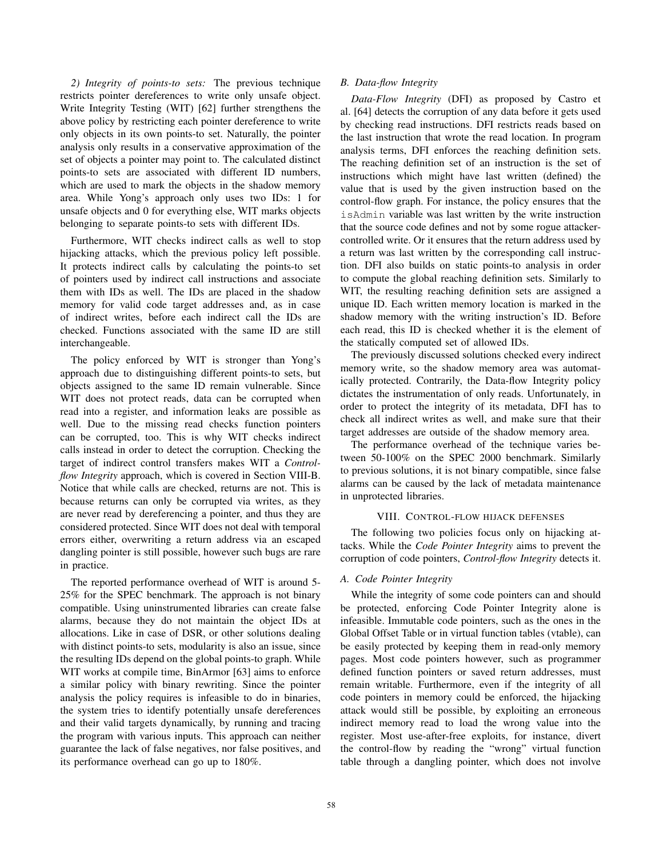*2) Integrity of points-to sets:* The previous technique restricts pointer dereferences to write only unsafe object. Write Integrity Testing (WIT) [62] further strengthens the above policy by restricting each pointer dereference to write only objects in its own points-to set. Naturally, the pointer analysis only results in a conservative approximation of the set of objects a pointer may point to. The calculated distinct points-to sets are associated with different ID numbers, which are used to mark the objects in the shadow memory area. While Yong's approach only uses two IDs: 1 for unsafe objects and 0 for everything else, WIT marks objects belonging to separate points-to sets with different IDs.

Furthermore, WIT checks indirect calls as well to stop hijacking attacks, which the previous policy left possible. It protects indirect calls by calculating the points-to set of pointers used by indirect call instructions and associate them with IDs as well. The IDs are placed in the shadow memory for valid code target addresses and, as in case of indirect writes, before each indirect call the IDs are checked. Functions associated with the same ID are still interchangeable.

The policy enforced by WIT is stronger than Yong's approach due to distinguishing different points-to sets, but objects assigned to the same ID remain vulnerable. Since WIT does not protect reads, data can be corrupted when read into a register, and information leaks are possible as well. Due to the missing read checks function pointers can be corrupted, too. This is why WIT checks indirect calls instead in order to detect the corruption. Checking the target of indirect control transfers makes WIT a *Controlflow Integrity* approach, which is covered in Section VIII-B. Notice that while calls are checked, returns are not. This is because returns can only be corrupted via writes, as they are never read by dereferencing a pointer, and thus they are considered protected. Since WIT does not deal with temporal errors either, overwriting a return address via an escaped dangling pointer is still possible, however such bugs are rare in practice.

The reported performance overhead of WIT is around 5- 25% for the SPEC benchmark. The approach is not binary compatible. Using uninstrumented libraries can create false alarms, because they do not maintain the object IDs at allocations. Like in case of DSR, or other solutions dealing with distinct points-to sets, modularity is also an issue, since the resulting IDs depend on the global points-to graph. While WIT works at compile time, BinArmor [63] aims to enforce a similar policy with binary rewriting. Since the pointer analysis the policy requires is infeasible to do in binaries, the system tries to identify potentially unsafe dereferences and their valid targets dynamically, by running and tracing the program with various inputs. This approach can neither guarantee the lack of false negatives, nor false positives, and its performance overhead can go up to 180%.

# *B. Data-flow Integrity*

*Data-Flow Integrity* (DFI) as proposed by Castro et al. [64] detects the corruption of any data before it gets used by checking read instructions. DFI restricts reads based on the last instruction that wrote the read location. In program analysis terms, DFI enforces the reaching definition sets. The reaching definition set of an instruction is the set of instructions which might have last written (defined) the value that is used by the given instruction based on the control-flow graph. For instance, the policy ensures that the isAdmin variable was last written by the write instruction that the source code defines and not by some rogue attackercontrolled write. Or it ensures that the return address used by a return was last written by the corresponding call instruction. DFI also builds on static points-to analysis in order to compute the global reaching definition sets. Similarly to WIT, the resulting reaching definition sets are assigned a unique ID. Each written memory location is marked in the shadow memory with the writing instruction's ID. Before each read, this ID is checked whether it is the element of the statically computed set of allowed IDs.

The previously discussed solutions checked every indirect memory write, so the shadow memory area was automatically protected. Contrarily, the Data-flow Integrity policy dictates the instrumentation of only reads. Unfortunately, in order to protect the integrity of its metadata, DFI has to check all indirect writes as well, and make sure that their target addresses are outside of the shadow memory area.

The performance overhead of the technique varies between 50-100% on the SPEC 2000 benchmark. Similarly to previous solutions, it is not binary compatible, since false alarms can be caused by the lack of metadata maintenance in unprotected libraries.

### VIII. CONTROL-FLOW HIJACK DEFENSES

The following two policies focus only on hijacking attacks. While the *Code Pointer Integrity* aims to prevent the corruption of code pointers, *Control-flow Integrity* detects it.

## *A. Code Pointer Integrity*

While the integrity of some code pointers can and should be protected, enforcing Code Pointer Integrity alone is infeasible. Immutable code pointers, such as the ones in the Global Offset Table or in virtual function tables (vtable), can be easily protected by keeping them in read-only memory pages. Most code pointers however, such as programmer defined function pointers or saved return addresses, must remain writable. Furthermore, even if the integrity of all code pointers in memory could be enforced, the hijacking attack would still be possible, by exploiting an erroneous indirect memory read to load the wrong value into the register. Most use-after-free exploits, for instance, divert the control-flow by reading the "wrong" virtual function table through a dangling pointer, which does not involve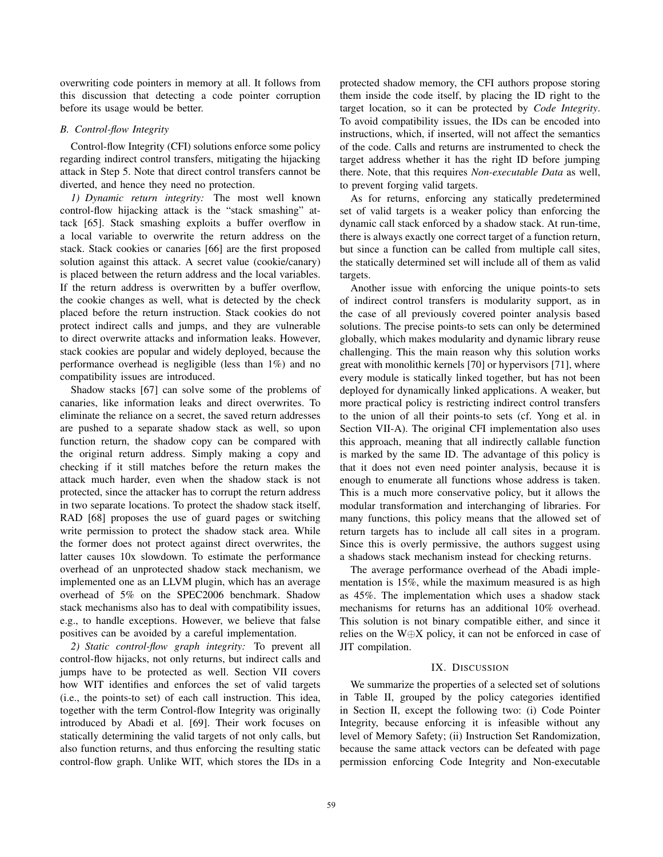overwriting code pointers in memory at all. It follows from this discussion that detecting a code pointer corruption before its usage would be better.

# *B. Control-flow Integrity*

Control-flow Integrity (CFI) solutions enforce some policy regarding indirect control transfers, mitigating the hijacking attack in Step 5. Note that direct control transfers cannot be diverted, and hence they need no protection.

*1) Dynamic return integrity:* The most well known control-flow hijacking attack is the "stack smashing" attack [65]. Stack smashing exploits a buffer overflow in a local variable to overwrite the return address on the stack. Stack cookies or canaries [66] are the first proposed solution against this attack. A secret value (cookie/canary) is placed between the return address and the local variables. If the return address is overwritten by a buffer overflow, the cookie changes as well, what is detected by the check placed before the return instruction. Stack cookies do not protect indirect calls and jumps, and they are vulnerable to direct overwrite attacks and information leaks. However, stack cookies are popular and widely deployed, because the performance overhead is negligible (less than 1%) and no compatibility issues are introduced.

Shadow stacks [67] can solve some of the problems of canaries, like information leaks and direct overwrites. To eliminate the reliance on a secret, the saved return addresses are pushed to a separate shadow stack as well, so upon function return, the shadow copy can be compared with the original return address. Simply making a copy and checking if it still matches before the return makes the attack much harder, even when the shadow stack is not protected, since the attacker has to corrupt the return address in two separate locations. To protect the shadow stack itself, RAD [68] proposes the use of guard pages or switching write permission to protect the shadow stack area. While the former does not protect against direct overwrites, the latter causes 10x slowdown. To estimate the performance overhead of an unprotected shadow stack mechanism, we implemented one as an LLVM plugin, which has an average overhead of 5% on the SPEC2006 benchmark. Shadow stack mechanisms also has to deal with compatibility issues, e.g., to handle exceptions. However, we believe that false positives can be avoided by a careful implementation.

*2) Static control-flow graph integrity:* To prevent all control-flow hijacks, not only returns, but indirect calls and jumps have to be protected as well. Section VII covers how WIT identifies and enforces the set of valid targets (i.e., the points-to set) of each call instruction. This idea, together with the term Control-flow Integrity was originally introduced by Abadi et al. [69]. Their work focuses on statically determining the valid targets of not only calls, but also function returns, and thus enforcing the resulting static control-flow graph. Unlike WIT, which stores the IDs in a

protected shadow memory, the CFI authors propose storing them inside the code itself, by placing the ID right to the target location, so it can be protected by *Code Integrity*. To avoid compatibility issues, the IDs can be encoded into instructions, which, if inserted, will not affect the semantics of the code. Calls and returns are instrumented to check the target address whether it has the right ID before jumping there. Note, that this requires *Non-executable Data* as well, to prevent forging valid targets.

As for returns, enforcing any statically predetermined set of valid targets is a weaker policy than enforcing the dynamic call stack enforced by a shadow stack. At run-time, there is always exactly one correct target of a function return, but since a function can be called from multiple call sites, the statically determined set will include all of them as valid targets.

Another issue with enforcing the unique points-to sets of indirect control transfers is modularity support, as in the case of all previously covered pointer analysis based solutions. The precise points-to sets can only be determined globally, which makes modularity and dynamic library reuse challenging. This the main reason why this solution works great with monolithic kernels [70] or hypervisors [71], where every module is statically linked together, but has not been deployed for dynamically linked applications. A weaker, but more practical policy is restricting indirect control transfers to the union of all their points-to sets (cf. Yong et al. in Section VII-A). The original CFI implementation also uses this approach, meaning that all indirectly callable function is marked by the same ID. The advantage of this policy is that it does not even need pointer analysis, because it is enough to enumerate all functions whose address is taken. This is a much more conservative policy, but it allows the modular transformation and interchanging of libraries. For many functions, this policy means that the allowed set of return targets has to include all call sites in a program. Since this is overly permissive, the authors suggest using a shadows stack mechanism instead for checking returns.

The average performance overhead of the Abadi implementation is 15%, while the maximum measured is as high as 45%. The implementation which uses a shadow stack mechanisms for returns has an additional 10% overhead. This solution is not binary compatible either, and since it relies on the W⊕X policy, it can not be enforced in case of JIT compilation.

#### IX. DISCUSSION

We summarize the properties of a selected set of solutions in Table II, grouped by the policy categories identified in Section II, except the following two: (i) Code Pointer Integrity, because enforcing it is infeasible without any level of Memory Safety; (ii) Instruction Set Randomization, because the same attack vectors can be defeated with page permission enforcing Code Integrity and Non-executable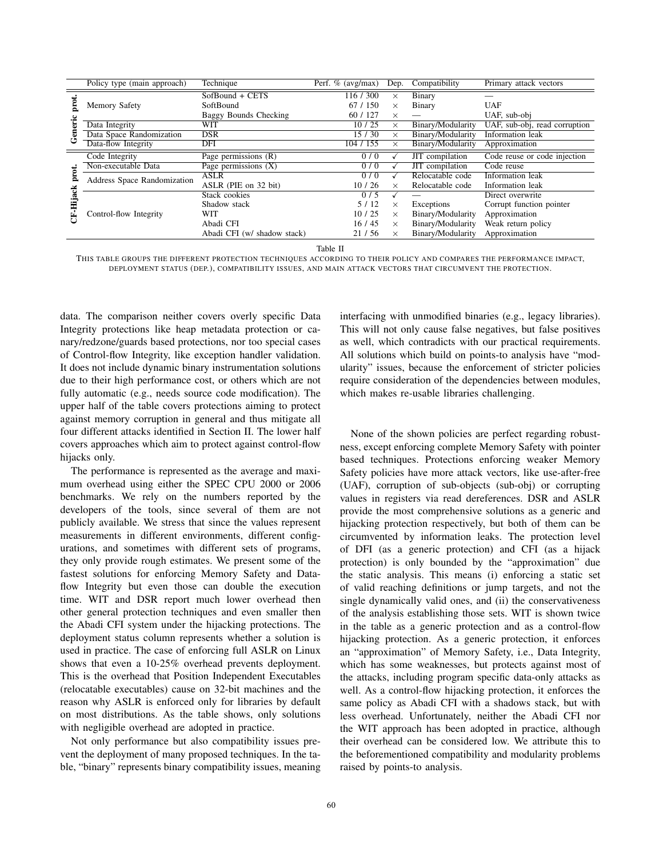|    | Policy type (main approach) | Technique                   | Perf. $%$ (avg/max) | Dep.     | Compatibility          | Primary attack vectors        |
|----|-----------------------------|-----------------------------|---------------------|----------|------------------------|-------------------------------|
| ක  |                             | SofBound + CETS             | 116 / 300           | $\times$ | Binary                 |                               |
|    | Memory Safety               | SoftBound                   | 67 / 150            | $\times$ | Binary                 | <b>UAF</b>                    |
|    |                             | Baggy Bounds Checking       | 60 / 127            | $\times$ |                        | UAF, sub-obj                  |
|    | Data Integrity              | WIT                         | 10/25               | $\times$ | Binary/Modularity      | UAF, sub-obj, read corruption |
|    | Data Space Randomization    | <b>DSR</b>                  | 15/30               | $\times$ | Binary/Modularity      | <b>Information</b> leak       |
|    | Data-flow Integrity         | DFI                         | 104 / 155           | $\times$ | Binary/Modularity      | Approximation                 |
| E, | Code Integrity              | Page permissions $(R)$      | 0/0                 |          | JIT compilation        | Code reuse or code injection  |
|    | Non-executable Data         | Page permissions $(X)$      | 0/0                 |          | <b>JIT</b> compilation | Code reuse                    |
|    | Address Space Randomization | ASLR                        | 0/0                 |          | Relocatable code       | Information leak              |
|    |                             | ASLR (PIE on 32 bit)        | 10/26               | $\times$ | Relocatable code       | Information leak              |
|    | Control-flow Integrity      | Stack cookies               | 0/5                 |          |                        | Direct overwrite              |
|    |                             | Shadow stack                | 5/12                | $\times$ | Exceptions             | Corrupt function pointer      |
|    |                             | WIT                         | 10/25               | $\times$ | Binary/Modularity      | Approximation                 |
|    |                             | Abadi CFI                   | 16/45               | $\times$ | Binary/Modularity      | Weak return policy            |
|    |                             | Abadi CFI (w/ shadow stack) | 21/56               | $\times$ | Binary/Modularity      | Approximation                 |

Table II

THIS TABLE GROUPS THE DIFFERENT PROTECTION TECHNIQUES ACCORDING TO THEIR POLICY AND COMPARES THE PERFORMANCE IMPACT, DEPLOYMENT STATUS (DEP.), COMPATIBILITY ISSUES, AND MAIN ATTACK VECTORS THAT CIRCUMVENT THE PROTECTION.

data. The comparison neither covers overly specific Data Integrity protections like heap metadata protection or canary/redzone/guards based protections, nor too special cases of Control-flow Integrity, like exception handler validation. It does not include dynamic binary instrumentation solutions due to their high performance cost, or others which are not fully automatic (e.g., needs source code modification). The upper half of the table covers protections aiming to protect against memory corruption in general and thus mitigate all four different attacks identified in Section II. The lower half covers approaches which aim to protect against control-flow hijacks only.

The performance is represented as the average and maximum overhead using either the SPEC CPU 2000 or 2006 benchmarks. We rely on the numbers reported by the developers of the tools, since several of them are not publicly available. We stress that since the values represent measurements in different environments, different configurations, and sometimes with different sets of programs, they only provide rough estimates. We present some of the fastest solutions for enforcing Memory Safety and Dataflow Integrity but even those can double the execution time. WIT and DSR report much lower overhead then other general protection techniques and even smaller then the Abadi CFI system under the hijacking protections. The deployment status column represents whether a solution is used in practice. The case of enforcing full ASLR on Linux shows that even a 10-25% overhead prevents deployment. This is the overhead that Position Independent Executables (relocatable executables) cause on 32-bit machines and the reason why ASLR is enforced only for libraries by default on most distributions. As the table shows, only solutions with negligible overhead are adopted in practice.

Not only performance but also compatibility issues prevent the deployment of many proposed techniques. In the table, "binary" represents binary compatibility issues, meaning interfacing with unmodified binaries (e.g., legacy libraries). This will not only cause false negatives, but false positives as well, which contradicts with our practical requirements. All solutions which build on points-to analysis have "modularity" issues, because the enforcement of stricter policies require consideration of the dependencies between modules, which makes re-usable libraries challenging.

None of the shown policies are perfect regarding robustness, except enforcing complete Memory Safety with pointer based techniques. Protections enforcing weaker Memory Safety policies have more attack vectors, like use-after-free (UAF), corruption of sub-objects (sub-obj) or corrupting values in registers via read dereferences. DSR and ASLR provide the most comprehensive solutions as a generic and hijacking protection respectively, but both of them can be circumvented by information leaks. The protection level of DFI (as a generic protection) and CFI (as a hijack protection) is only bounded by the "approximation" due the static analysis. This means (i) enforcing a static set of valid reaching definitions or jump targets, and not the single dynamically valid ones, and (ii) the conservativeness of the analysis establishing those sets. WIT is shown twice in the table as a generic protection and as a control-flow hijacking protection. As a generic protection, it enforces an "approximation" of Memory Safety, i.e., Data Integrity, which has some weaknesses, but protects against most of the attacks, including program specific data-only attacks as well. As a control-flow hijacking protection, it enforces the same policy as Abadi CFI with a shadows stack, but with less overhead. Unfortunately, neither the Abadi CFI nor the WIT approach has been adopted in practice, although their overhead can be considered low. We attribute this to the beforementioned compatibility and modularity problems raised by points-to analysis.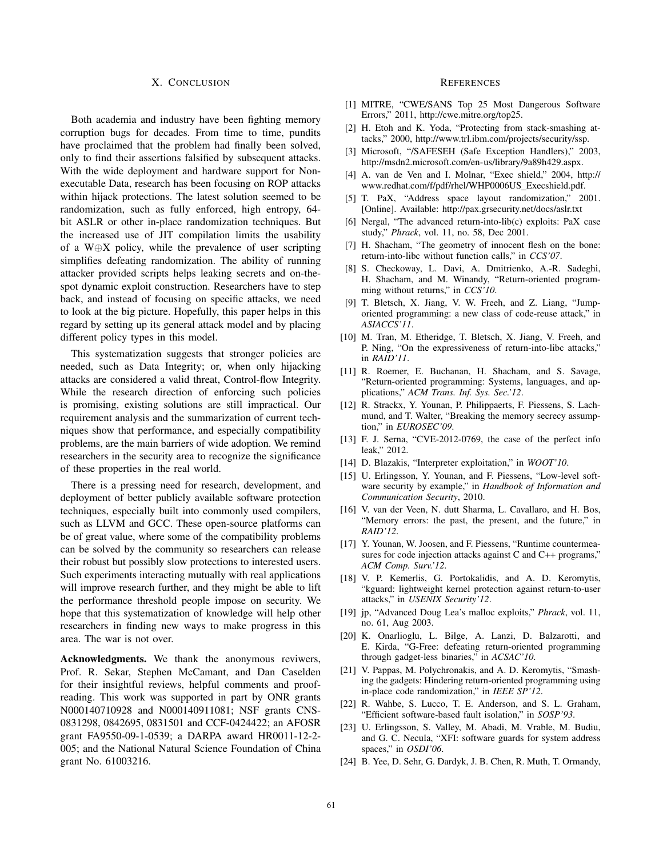## X. CONCLUSION

Both academia and industry have been fighting memory corruption bugs for decades. From time to time, pundits have proclaimed that the problem had finally been solved, only to find their assertions falsified by subsequent attacks. With the wide deployment and hardware support for Nonexecutable Data, research has been focusing on ROP attacks within hijack protections. The latest solution seemed to be randomization, such as fully enforced, high entropy, 64 bit ASLR or other in-place randomization techniques. But the increased use of JIT compilation limits the usability of a W⊕X policy, while the prevalence of user scripting simplifies defeating randomization. The ability of running attacker provided scripts helps leaking secrets and on-thespot dynamic exploit construction. Researchers have to step back, and instead of focusing on specific attacks, we need to look at the big picture. Hopefully, this paper helps in this regard by setting up its general attack model and by placing different policy types in this model.

This systematization suggests that stronger policies are needed, such as Data Integrity; or, when only hijacking attacks are considered a valid threat, Control-flow Integrity. While the research direction of enforcing such policies is promising, existing solutions are still impractical. Our requirement analysis and the summarization of current techniques show that performance, and especially compatibility problems, are the main barriers of wide adoption. We remind researchers in the security area to recognize the significance of these properties in the real world.

There is a pressing need for research, development, and deployment of better publicly available software protection techniques, especially built into commonly used compilers, such as LLVM and GCC. These open-source platforms can be of great value, where some of the compatibility problems can be solved by the community so researchers can release their robust but possibly slow protections to interested users. Such experiments interacting mutually with real applications will improve research further, and they might be able to lift the performance threshold people impose on security. We hope that this systematization of knowledge will help other researchers in finding new ways to make progress in this area. The war is not over.

Acknowledgments. We thank the anonymous reviwers, Prof. R. Sekar, Stephen McCamant, and Dan Caselden for their insightful reviews, helpful comments and proofreading. This work was supported in part by ONR grants N000140710928 and N000140911081; NSF grants CNS-0831298, 0842695, 0831501 and CCF-0424422; an AFOSR grant FA9550-09-1-0539; a DARPA award HR0011-12-2- 005; and the National Natural Science Foundation of China grant No. 61003216.

# **REFERENCES**

- [1] MITRE, "CWE/SANS Top 25 Most Dangerous Software Errors," 2011, http://cwe.mitre.org/top25.
- [2] H. Etoh and K. Yoda, "Protecting from stack-smashing attacks," 2000, http://www.trl.ibm.com/projects/security/ssp.
- [3] Microsoft, "/SAFESEH (Safe Exception Handlers)," 2003, http://msdn2.microsoft.com/en-us/library/9a89h429.aspx.
- [4] A. van de Ven and I. Molnar, "Exec shield," 2004, http:// www.redhat.com/f/pdf/rhel/WHP0006US Execshield.pdf.
- [5] T. PaX, "Address space layout randomization," 2001. [Online]. Available: http://pax.grsecurity.net/docs/aslr.txt
- [6] Nergal, "The advanced return-into-lib(c) exploits: PaX case study," *Phrack*, vol. 11, no. 58, Dec 2001.
- [7] H. Shacham, "The geometry of innocent flesh on the bone: return-into-libc without function calls," in *CCS'07*.
- [8] S. Checkoway, L. Davi, A. Dmitrienko, A.-R. Sadeghi, H. Shacham, and M. Winandy, "Return-oriented programming without returns," in *CCS'10*.
- [9] T. Bletsch, X. Jiang, V. W. Freeh, and Z. Liang, "Jumporiented programming: a new class of code-reuse attack," in *ASIACCS'11*.
- [10] M. Tran, M. Etheridge, T. Bletsch, X. Jiang, V. Freeh, and P. Ning, "On the expressiveness of return-into-libc attacks," in *RAID'11*.
- [11] R. Roemer, E. Buchanan, H. Shacham, and S. Savage, "Return-oriented programming: Systems, languages, and applications," *ACM Trans. Inf. Sys. Sec.'12*.
- [12] R. Strackx, Y. Younan, P. Philippaerts, F. Piessens, S. Lachmund, and T. Walter, "Breaking the memory secrecy assumption," in *EUROSEC'09*.
- [13] F. J. Serna, "CVE-2012-0769, the case of the perfect info leak," 2012.
- [14] D. Blazakis, "Interpreter exploitation," in *WOOT'10*.
- [15] U. Erlingsson, Y. Younan, and F. Piessens, "Low-level software security by example," in *Handbook of Information and Communication Security*, 2010.
- [16] V. van der Veen, N. dutt Sharma, L. Cavallaro, and H. Bos, "Memory errors: the past, the present, and the future," in *RAID'12*.
- [17] Y. Younan, W. Joosen, and F. Piessens, "Runtime countermeasures for code injection attacks against C and C++ programs," *ACM Comp. Surv.'12*.
- [18] V. P. Kemerlis, G. Portokalidis, and A. D. Keromytis, "kguard: lightweight kernel protection against return-to-user attacks," in *USENIX Security'12*.
- [19] jp, "Advanced Doug Lea's malloc exploits," *Phrack*, vol. 11, no. 61, Aug 2003.
- [20] K. Onarlioglu, L. Bilge, A. Lanzi, D. Balzarotti, and E. Kirda, "G-Free: defeating return-oriented programming through gadget-less binaries," in *ACSAC'10*.
- [21] V. Pappas, M. Polychronakis, and A. D. Keromytis, "Smashing the gadgets: Hindering return-oriented programming using in-place code randomization," in *IEEE SP'12*.
- [22] R. Wahbe, S. Lucco, T. E. Anderson, and S. L. Graham, "Efficient software-based fault isolation," in *SOSP'93*.
- [23] U. Erlingsson, S. Valley, M. Abadi, M. Vrable, M. Budiu, and G. C. Necula, "XFI: software guards for system address spaces," in *OSDI'06*.
- [24] B. Yee, D. Sehr, G. Dardyk, J. B. Chen, R. Muth, T. Ormandy,